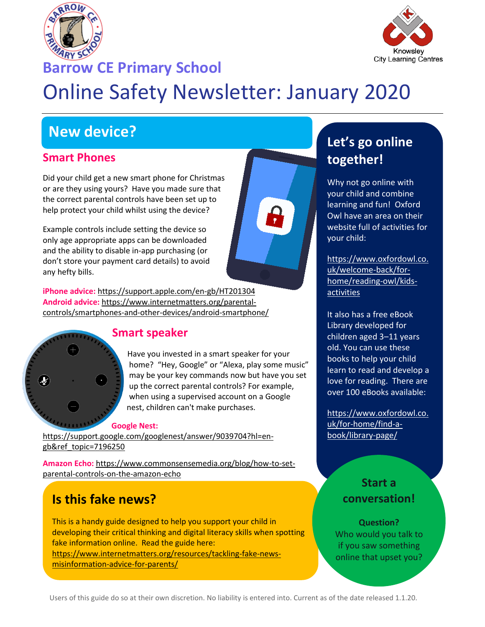



## **Barrow CE Primary School**

# Online Safety Newsletter: January 2020

# **New device?**

#### **Smart Phones**

Did your child get a new smart phone for Christmas or are they using yours? Have you made sure that the correct parental controls have been set up to help protect your child whilst using the device?

Example controls include setting the device so only age appropriate apps can be downloaded and the ability to disable in-app purchasing (or don't store your payment card details) to avoid any hefty bills.

**iPhone advice:** <https://support.apple.com/en-gb/HT201304> **Android advice:** [https://www.internetmatters.org/parental](https://www.internetmatters.org/parental-controls/smartphones-and-other-devices/android-smartphone/)[controls/smartphones-and-other-devices/android-smartphone/](https://www.internetmatters.org/parental-controls/smartphones-and-other-devices/android-smartphone/)



#### **Smart speaker**

Have you invested in a smart speaker for your home? "Hey, Google" or "Alexa, play some music" may be your key commands now but have you set up the correct parental controls? For example, when using a supervised account on a Google nest, children can't make purchases.

#### **Google Nest:**

[https://support.google.com/googlenest/answer/9039704?hl=en](https://support.google.com/googlenest/answer/9039704?hl=en-gb&ref_topic=7196250)[gb&ref\\_topic=7196250](https://support.google.com/googlenest/answer/9039704?hl=en-gb&ref_topic=7196250) 

**Amazon Echo:** [https://www.commonsensemedia.org/blog/how-to-set](https://www.commonsensemedia.org/blog/how-to-set-parental-controls-on-the-amazon-echo)[parental-controls-on-the-amazon-echo](https://www.commonsensemedia.org/blog/how-to-set-parental-controls-on-the-amazon-echo)

# **Is this fake news?**

This is a handy guide designed to help you support your child in developing their critical thinking and digital literacy skills when spotting fake information online. Read the guide here: [https://www.internetmatters.org/resources/tackling-fake-news](https://www.internetmatters.org/resources/tackling-fake-news-misinformation-advice-for-parents/)[misinformation-advice-for-parents/](https://www.internetmatters.org/resources/tackling-fake-news-misinformation-advice-for-parents/) 

# **Let's go online together!**

Why not go online with your child and combine learning and fun! Oxford Owl have an area on their website full of activities for your child:

[https://www.oxfordowl.co.](https://www.oxfordowl.co.uk/welcome-back/for-home/reading-owl/kids-activities) [uk/welcome-back/for](https://www.oxfordowl.co.uk/welcome-back/for-home/reading-owl/kids-activities)[home/reading-owl/kids](https://www.oxfordowl.co.uk/welcome-back/for-home/reading-owl/kids-activities)[activities](https://www.oxfordowl.co.uk/welcome-back/for-home/reading-owl/kids-activities) 

It also has a free eBook Library developed for children aged 3–11 years old. You can use these books to help your child learn to read and develop a love for reading. There are over 100 eBooks available:

[https://www.oxfordowl.co.](https://www.oxfordowl.co.uk/for-home/find-a-book/library-page/) [uk/for-home/find-a](https://www.oxfordowl.co.uk/for-home/find-a-book/library-page/)[book/library-page/](https://www.oxfordowl.co.uk/for-home/find-a-book/library-page/)

## **Start a conversation!**

**Question?** Who would you talk to if you saw something online that upset you?